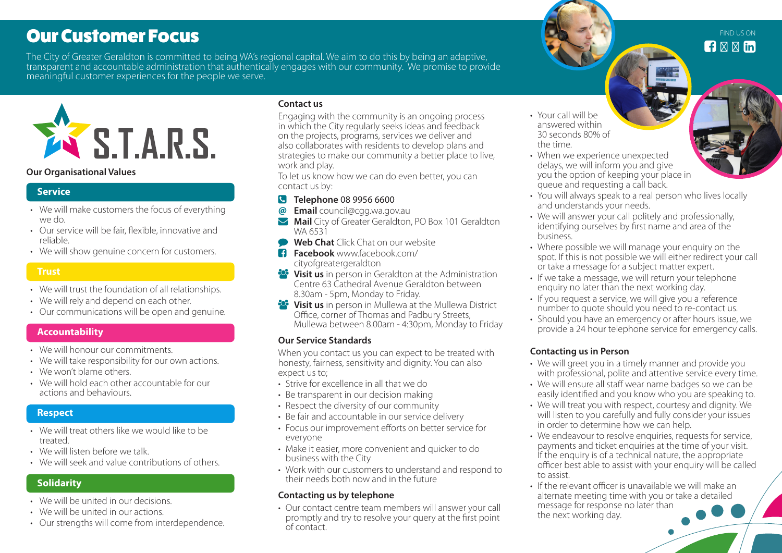# Our Customer Focus

The City of Greater Geraldton is committed to being WA's regional capital. We aim to do this by being an adaptive, transparent and accountable administration that authentically engages with our community. We promise to provide meaningful customer experiences for the people we serve.



#### **Our Organisational Values**

#### **Service**

- We will make customers the focus of everything we do.
- Our service will be fair, flexible, innovative and reliable.
- We will show genuine concern for customers.

#### **Trust**

- We will trust the foundation of all relationships.
- We will rely and depend on each other.
- Our communications will be open and genuine.

#### **Accountability**

- We will honour our commitments.
- We will take responsibility for our own actions.
- We won't blame others.
- We will hold each other accountable for our actions and behaviours.

#### **Respect**

- We will treat others like we would like to be treated.
- We will listen before we talk
- We will seek and value contributions of others.

# **Solidarity**

- We will be united in our decisions.
- We will be united in our actions.
- Our strengths will come from interdependence.

#### **Contact us**

Engaging with the community is an ongoing process in which the City regularly seeks ideas and feedback on the projects, programs, services we deliver and also collaborates with residents to develop plans and strategies to make our community a better place to live, work and play.

To let us know how we can do even better, you can contact us by:

#### **Telephone** 08 9956 6600

- **@ Email** council@cgg.wa.gov.au
- **Mail** City of Greater Geraldton, PO Box 101 Geraldton WA 6531
- **Web Chat** Click Chat on our website
- **Facebook** www.facebook.com/ cityofgreatergeraldton
- **Visit us** in person in Geraldton at the Administration Centre 63 Cathedral Avenue Geraldton between 8.30am - 5pm, Monday to Friday.
- **Visit us** in person in Mullewa at the Mullewa District Office, corner of Thomas and Padbury Streets, Mullewa between 8.00am - 4:30pm, Monday to Friday

#### **Our Service Standards**

When you contact us you can expect to be treated with honesty, fairness, sensitivity and dignity. You can also expect us to;

- Strive for excellence in all that we do
- Be transparent in our decision making
- Respect the diversity of our community
- Be fair and accountable in our service delivery
- Focus our improvement efforts on better service for everyone
- Make it easier, more convenient and quicker to do business with the City
- Work with our customers to understand and respond to their needs both now and in the future

#### **Contacting us by telephone**

• Our contact centre team members will answer your call promptly and try to resolve your query at the first point of contact.

- Your call will be answered within 30 seconds 80% of the time.
- When we experience unexpected delays, we will inform you and give you the option of keeping your place in queue and requesting a call back.
- You will always speak to a real person who lives locally and understands your needs.
- We will answer your call politely and professionally, identifying ourselves by first name and area of the business.
- Where possible we will manage your enquiry on the spot. If this is not possible we will either redirect your call or take a message for a subject matter expert.
- If we take a message, we will return your telephone enquiry no later than the next working day.
- If you request a service, we will give you a reference number to quote should you need to re-contact us.
- Should you have an emergency or after hours issue, we provide a 24 hour telephone service for emergency calls.

#### **Contacting us in Person**

- We will greet you in a timely manner and provide you with professional, polite and attentive service every time.
- We will ensure all staff wear name badges so we can be easily identified and you know who you are speaking to.
- We will treat you with respect, courtesy and dignity. We will listen to you carefully and fully consider your issues in order to determine how we can help.
- We endeavour to resolve enquiries, requests for service, payments and ticket enquiries at the time of your visit. If the enquiry is of a technical nature, the appropriate officer best able to assist with your enquiry will be called to assist.
- If the relevant officer is unavailable we will make an alternate meeting time with you or take a detailed message for response no later than the next working day.

 $\mathbf{H}$  fm FIND US ON